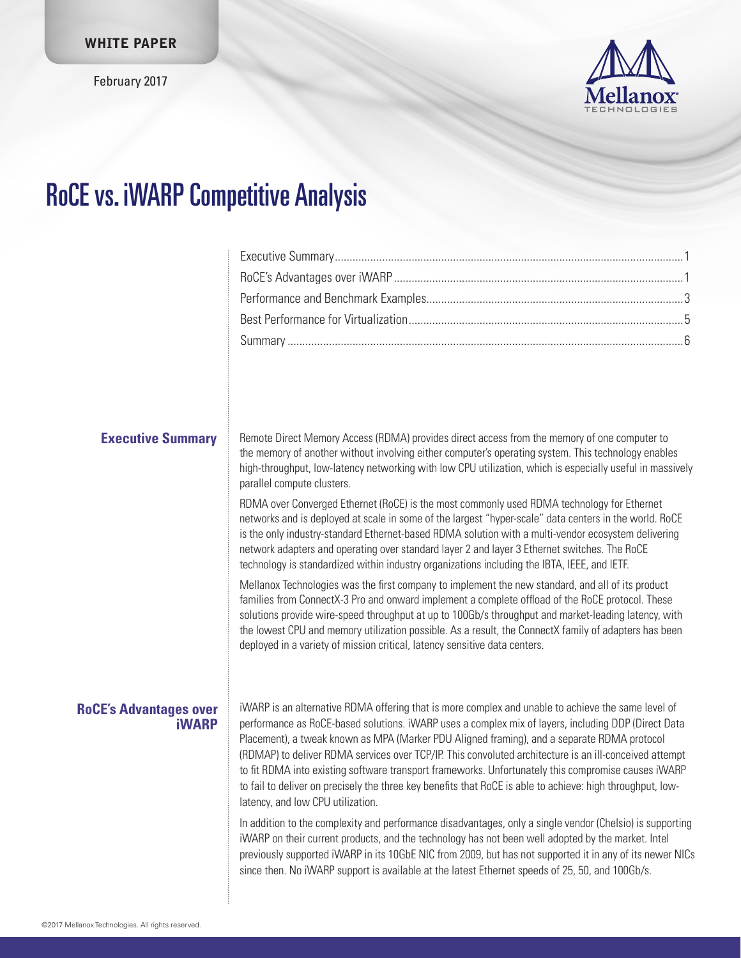February 2017



# RoCE vs. iWARP Competitive Analysis

| <b>Executive Summary</b>                      | Remote Direct Memory Access (RDMA) provides direct access from the memory of one computer to<br>the memory of another without involving either computer's operating system. This technology enables<br>high-throughput, low-latency networking with low CPU utilization, which is especially useful in massively<br>parallel compute clusters.                                                                                                                                                                                                                                                                                                                               |  |
|-----------------------------------------------|------------------------------------------------------------------------------------------------------------------------------------------------------------------------------------------------------------------------------------------------------------------------------------------------------------------------------------------------------------------------------------------------------------------------------------------------------------------------------------------------------------------------------------------------------------------------------------------------------------------------------------------------------------------------------|--|
|                                               | RDMA over Converged Ethernet (RoCE) is the most commonly used RDMA technology for Ethernet<br>networks and is deployed at scale in some of the largest "hyper-scale" data centers in the world. RoCE<br>is the only industry-standard Ethernet-based RDMA solution with a multi-vendor ecosystem delivering<br>network adapters and operating over standard layer 2 and layer 3 Ethernet switches. The RoCE<br>technology is standardized within industry organizations including the IBTA, IEEE, and IETF.                                                                                                                                                                  |  |
|                                               | Mellanox Technologies was the first company to implement the new standard, and all of its product<br>families from ConnectX-3 Pro and onward implement a complete offload of the RoCE protocol. These<br>solutions provide wire-speed throughput at up to 100Gb/s throughput and market-leading latency, with<br>the lowest CPU and memory utilization possible. As a result, the ConnectX family of adapters has been<br>deployed in a variety of mission critical, latency sensitive data centers.                                                                                                                                                                         |  |
| <b>RoCE's Advantages over</b><br><b>iWARP</b> | iWARP is an alternative RDMA offering that is more complex and unable to achieve the same level of<br>performance as RoCE-based solutions. iWARP uses a complex mix of layers, including DDP (Direct Data<br>Placement), a tweak known as MPA (Marker PDU Aligned framing), and a separate RDMA protocol<br>(RDMAP) to deliver RDMA services over TCP/IP. This convoluted architecture is an ill-conceived attempt<br>to fit RDMA into existing software transport frameworks. Unfortunately this compromise causes iWARP<br>to fail to deliver on precisely the three key benefits that RoCE is able to achieve: high throughput, low-<br>latency, and low CPU utilization. |  |
|                                               | In addition to the complexity and performance disadvantages, only a single vendor (Chelsio) is supporting<br>iWARP on their current products, and the technology has not been well adopted by the market. Intel<br>previously supported iWARP in its 10GbE NIC from 2009, but has not supported it in any of its newer NICs<br>since then. No iWARP support is available at the latest Ethernet speeds of 25, 50, and 100Gb/s.                                                                                                                                                                                                                                               |  |
|                                               |                                                                                                                                                                                                                                                                                                                                                                                                                                                                                                                                                                                                                                                                              |  |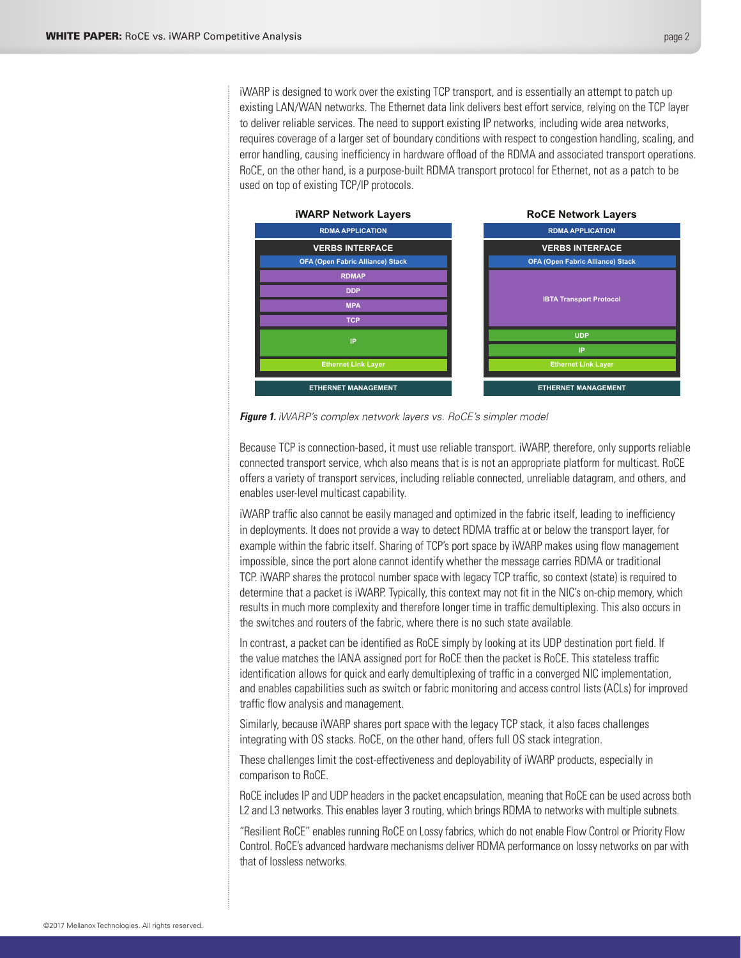iWARP is designed to work over the existing TCP transport, and is essentially an attempt to patch up existing LAN/WAN networks. The Ethernet data link delivers best effort service, relying on the TCP layer to deliver reliable services. The need to support existing IP networks, including wide area networks, requires coverage of a larger set of boundary conditions with respect to congestion handling, scaling, and error handling, causing inefficiency in hardware offload of the RDMA and associated transport operations. RoCE, on the other hand, is a purpose-built RDMA transport protocol for Ethernet, not as a patch to be used on top of existing TCP/IP protocols.



*Figure 1. iWARP's complex network layers vs. RoCE's simpler model*

Because TCP is connection-based, it must use reliable transport. iWARP, therefore, only supports reliable connected transport service, whch also means that is is not an appropriate platform for multicast. RoCE offers a variety of transport services, including reliable connected, unreliable datagram, and others, and enables user-level multicast capability.

iWARP traffic also cannot be easily managed and optimized in the fabric itself, leading to inefficiency in deployments. It does not provide a way to detect RDMA traffic at or below the transport layer, for example within the fabric itself. Sharing of TCP's port space by iWARP makes using flow management impossible, since the port alone cannot identify whether the message carries RDMA or traditional TCP. iWARP shares the protocol number space with legacy TCP traffic, so context (state) is required to determine that a packet is iWARP. Typically, this context may not fit in the NIC's on-chip memory, which results in much more complexity and therefore longer time in traffic demultiplexing. This also occurs in the switches and routers of the fabric, where there is no such state available.

In contrast, a packet can be identified as RoCE simply by looking at its UDP destination port field. If the value matches the IANA assigned port for RoCE then the packet is RoCE. This stateless traffic identification allows for quick and early demultiplexing of traffic in a converged NIC implementation, and enables capabilities such as switch or fabric monitoring and access control lists (ACLs) for improved traffic flow analysis and management.

Similarly, because iWARP shares port space with the legacy TCP stack, it also faces challenges integrating with OS stacks. RoCE, on the other hand, offers full OS stack integration.

These challenges limit the cost-effectiveness and deployability of iWARP products, especially in comparison to RoCE.

RoCE includes IP and UDP headers in the packet encapsulation, meaning that RoCE can be used across both L2 and L3 networks. This enables layer 3 routing, which brings RDMA to networks with multiple subnets.

"Resilient RoCE" enables running RoCE on Lossy fabrics, which do not enable Flow Control or Priority Flow Control. RoCE's advanced hardware mechanisms deliver RDMA performance on lossy networks on par with that of lossless networks.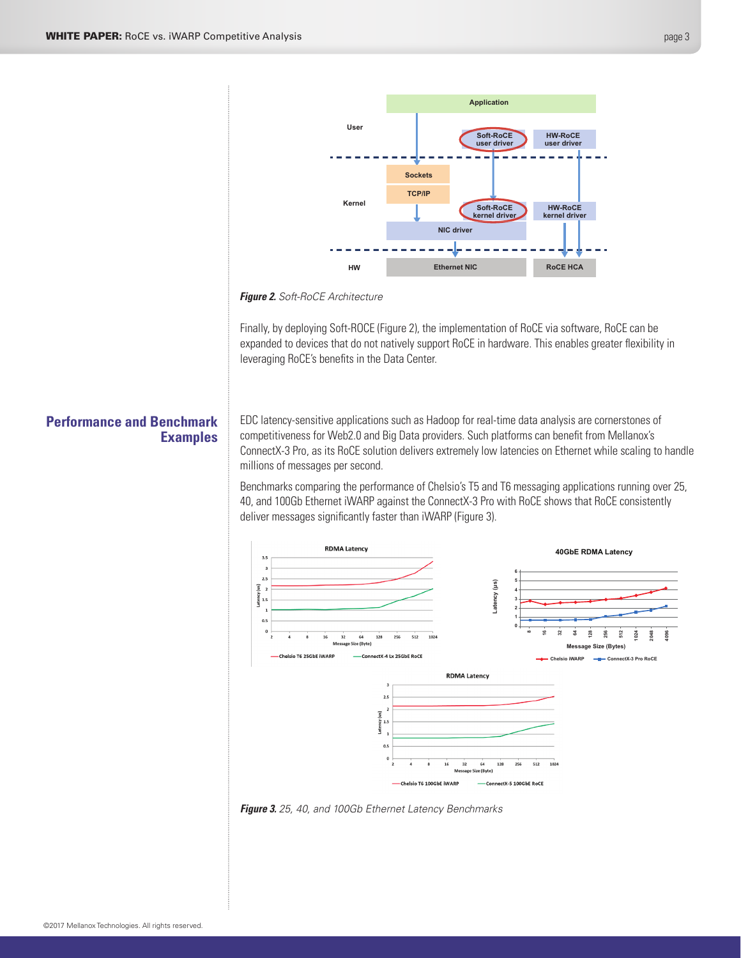<span id="page-2-0"></span>

#### *Figure 2. Soft-RoCE Architecture*

Finally, by deploying Soft-ROCE (Figure 2), the implementation of RoCE via software, RoCE can be expanded to devices that do not natively support RoCE in hardware. This enables greater flexibility in leveraging RoCE's benefits in the Data Center.

# **Performance and Benchmark Examples**

EDC latency-sensitive applications such as Hadoop for real-time data analysis are cornerstones of competitiveness for Web2.0 and Big Data providers. Such platforms can benefit from Mellanox's ConnectX-3 Pro, as its RoCE solution delivers extremely low latencies on Ethernet while scaling to handle millions of messages per second.

Benchmarks comparing the performance of Chelsio's T5 and T6 messaging applications running over 25, 40, and 100Gb Ethernet iWARP against the ConnectX-3 Pro with RoCE shows that RoCE consistently deliver messages significantly faster than iWARP (Figure 3).



*Figure 3. 25, 40, and 100Gb Ethernet Latency Benchmarks*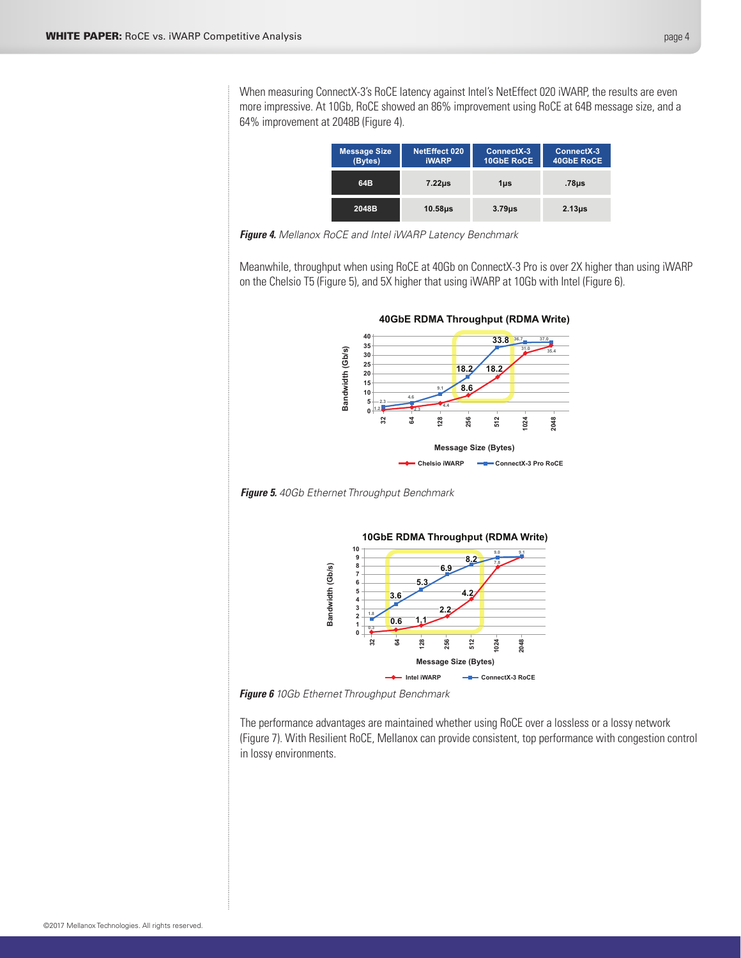When measuring ConnectX-3's RoCE latency against Intel's NetEffect 020 iWARP, the results are even more impressive. At 10Gb, RoCE showed an 86% improvement using RoCE at 64B message size, and a 64% improvement at 2048B (Figure 4).

| <b>Message Size</b><br>(Bytes) | NetEffect 020<br><b>iWARP</b> | ConnectX-3<br>10GbE RoCE | ConnectX-3<br>40GbE RoCE |
|--------------------------------|-------------------------------|--------------------------|--------------------------|
| 64B                            | $7.22\mu s$                   | $1µ$ s                   | .78µs                    |
| 2048B                          | $10.58µ$ s                    | $3.79µ$ s                | $2.13µ$ s                |

*Figure 4. Mellanox RoCE and Intel iWARP Latency Benchmark*

Meanwhile, throughput when using RoCE at 40Gb on ConnectX-3 Pro is over 2X higher than using iWARP on the Chelsio T5 (Figure 5), and 5X higher that using iWARP at 10Gb with Intel (Figure 6).



*Figure 5. 40Gb Ethernet Throughput Benchmark*



*Figure 6 10Gb Ethernet Throughput Benchmark*

The performance advantages are maintained whether using RoCE over a lossless or a lossy network (Figure 7). With Resilient RoCE, Mellanox can provide consistent, top performance with congestion control in lossy environments.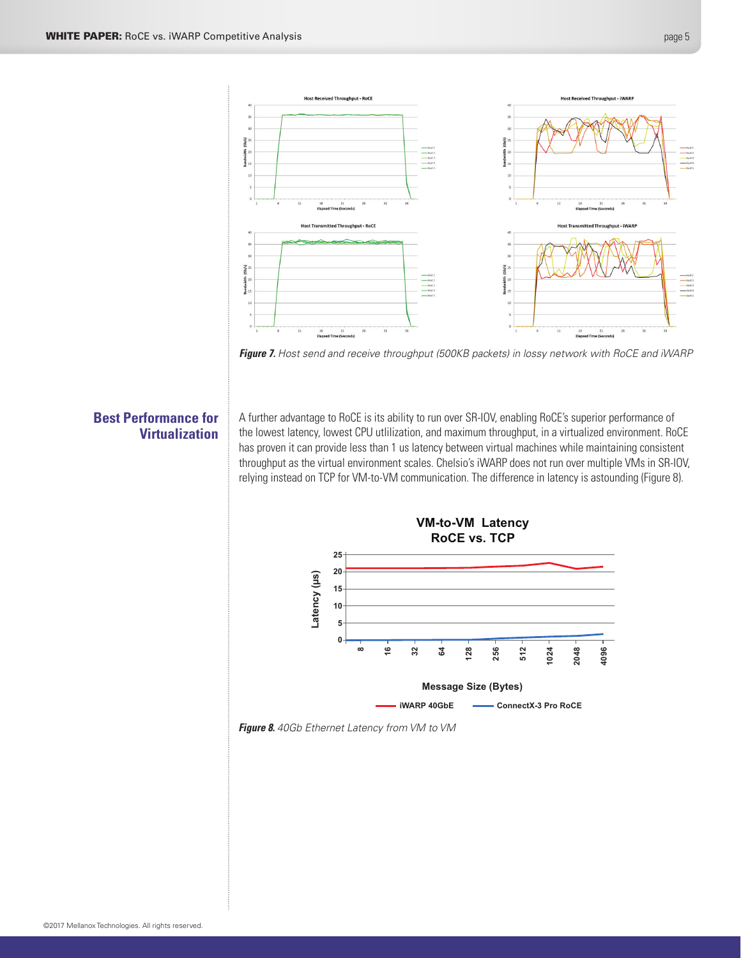<span id="page-4-0"></span>



# **Best Performance for Virtualization**

A further advantage to RoCE is its ability to run over SR-IOV, enabling RoCE's superior performance of the lowest latency, lowest CPU utlilization, and maximum throughput, in a virtualized environment. RoCE has proven it can provide less than 1 us latency between virtual machines while maintaining consistent throughput as the virtual environment scales. Chelsio's iWARP does not run over multiple VMs in SR-IOV, relying instead on TCP for VM-to-VM communication. The difference in latency is astounding (Figure 8).